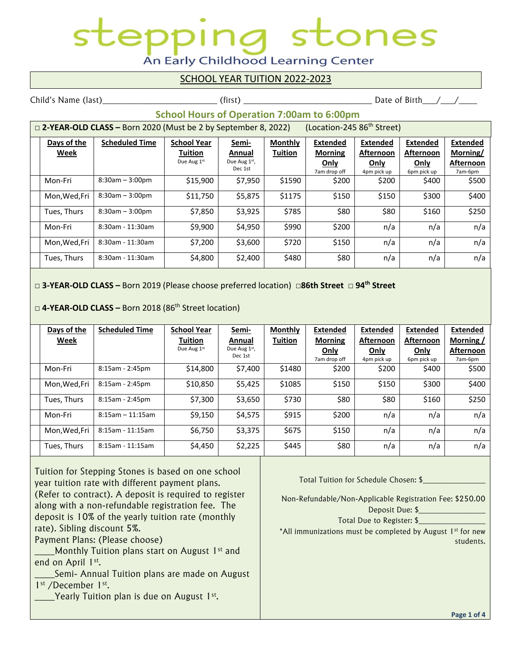# ones An Early Childhood Learning Center

#### SCHOOL YEAR TUITION 2022-2023

Child's Name (last)\_\_\_\_\_\_\_\_\_\_\_\_\_\_\_\_\_\_\_\_\_\_\_\_\_ (first) \_\_\_\_\_\_\_\_\_\_\_\_\_\_\_\_\_\_\_\_\_\_\_\_\_\_\_\_ Date of Birth\_\_\_/\_\_\_/\_\_\_\_

### **School Hours of Operation 7:00am to 6:00pm**

| (Location-245 86 <sup>th</sup> Street)<br>$\Box$ 2-YEAR-OLD CLASS – Born 2020 (Must be 2 by September 8, 2022) |                       |                    |              |                |                 |                  |                 |                 |
|----------------------------------------------------------------------------------------------------------------|-----------------------|--------------------|--------------|----------------|-----------------|------------------|-----------------|-----------------|
| Days of the                                                                                                    | <b>Scheduled Time</b> | <b>School Year</b> | Semi-        | <b>Monthly</b> | <b>Extended</b> | Extended         | <b>Extended</b> | <b>Extended</b> |
| Week                                                                                                           |                       | Tuition            | Annual       | <b>Tuition</b> | <b>Morning</b>  | <b>Afternoon</b> | Afternoon       | Morning/        |
|                                                                                                                |                       | Due Aug 1st        | Due Aug 1st, |                | Only            | Only             | Only            | Afternoon       |
|                                                                                                                |                       |                    | Dec 1st      |                | 7am drop off    | 4pm pick up      | 6pm pick up     | 7am-6pm         |
| Mon-Fri                                                                                                        | $8:30am - 3:00pm$     | \$15,900           | \$7,950      | \$1590         | \$200           | \$200            | \$400           | \$500           |
| Mon, Wed, Fri                                                                                                  | $8:30am - 3:00pm$     | \$11,750           | \$5,875      | \$1175         | \$150           | \$150            | \$300           | \$400           |
| Tues, Thurs                                                                                                    | $8:30am - 3:00pm$     | \$7,850            | \$3,925      | \$785          | \$80            | \$80             | \$160           | \$250           |
| Mon-Fri                                                                                                        | 8:30am - 11:30am      | \$9,900            | \$4,950      | \$990          | \$200           | n/a              | n/a             | n/a             |
| Mon, Wed, Fri                                                                                                  | 8:30am - 11:30am      | \$7,200            | \$3,600      | \$720          | \$150           | n/a              | n/a             | n/a             |
| Tues, Thurs                                                                                                    | 8:30am - 11:30am      | \$4,800            | \$2,400      | \$480          | \$80            | n/a              | n/a             | n/a             |

#### **□ 3-YEAR-OLD CLASS –** Born 2019 (Please choose preferred location) **□86th Street □ 94th Street**

**□ 4-YEAR-OLD CLASS –** Born 2018 (86th Street location)

| Days of the   | <b>Scheduled Time</b> | <b>School Year</b> | <u>Semi-</u> | <b>Monthly</b> | Extended       | Extended         | Extended         | Extended         |
|---------------|-----------------------|--------------------|--------------|----------------|----------------|------------------|------------------|------------------|
| <u>Week</u>   |                       | Tuition            | Annual       | <b>Tuition</b> | <b>Morning</b> | <b>Afternoon</b> | <b>Afternoon</b> | Morning /        |
|               |                       | Due Aug 1st        | Due Aug 1st, |                | <b>Only</b>    | <b>Only</b>      | <u>Only</u>      | <b>Afternoon</b> |
|               |                       |                    | Dec 1st      |                | 7am drop off   | 4pm pick up      | 6pm pick up      | 7am-6pm          |
| Mon-Fri       | $8:15am - 2:45pm$     | \$14,800           | \$7,400      | \$1480         | \$200          | \$200            | \$400            | \$500            |
| Mon, Wed, Fri | $8:15am - 2:45pm$     | \$10,850           | \$5,425      | \$1085         | \$150          | \$150            | \$300            | \$400            |
| Tues, Thurs   | $8:15am - 2:45pm$     | \$7,300            | \$3,650      | \$730          | \$80           | \$80             | \$160            | \$250            |
| Mon-Fri       | $8:15$ am - 11:15am   | \$9,150            | \$4,575      | \$915          | \$200          | n/a              | n/a              | n/a              |
| Mon, Wed, Fri | $8:15$ am - 11:15am   | \$6,750            | \$3,375      | \$675          | \$150          | n/a              | n/a              | n/a              |
| Tues, Thurs   | $8:15$ am - 11:15am   | \$4,450            | \$2,225      | \$445          | \$80           | n/a              | n/a              | n/a              |

Tuition for Stepping Stones is based on one school year tuition rate with different payment plans. (Refer to contract). A deposit is required to register along with a non-refundable registration fee. The deposit is 10% of the yearly tuition rate (monthly rate). Sibling discount 5%.

Payment Plans: (Please choose)

 $\blacksquare$  Monthly Tuition plans start on August 1st and end on April 1<sup>st</sup>.

- Semi- Annual Tuition plans are made on August 1<sup>st</sup> /December 1<sup>st</sup>.
- **EXECUTE:** Yearly Tuition plan is due on August 1<sup>st</sup>.

Total Tuition for Schedule Chosen: \$\_\_\_\_\_\_\_\_\_\_\_\_\_\_\_

Non-Refundable/Non-Applicable Registration Fee: \$250.00 Deposit Due: \$

Total Due to Register: \$

\*All immunizations must be completed by August 1<sup>st</sup> for new students.

I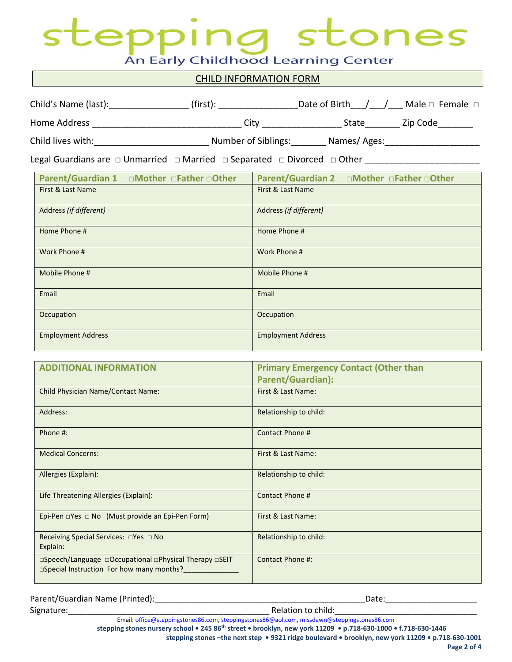### ones epp An Early Childhood Learning Center

#### CHILD INFORMATION FORM

| Child's Name (last): | (first):            | Date of Birth | Male $\Box$ Female $\Box$ |
|----------------------|---------------------|---------------|---------------------------|
| Home Address         | Citv                | State         | Zip Code                  |
| Child lives with:    | Number of Siblings: | Names/Ages:   |                           |

Legal Guardians are □ Unmarried □ Married □ Separated □ Divorced □ Other \_\_\_\_\_\_\_\_\_\_\_\_\_\_

| Parent/Guardian 1 □Mother □Father □Other | Parent/Guardian 2 □Mother □Father □Other |
|------------------------------------------|------------------------------------------|
| First & Last Name                        | First & Last Name                        |
| Address (if different)                   | Address (if different)                   |
| Home Phone #                             | Home Phone #                             |
| Work Phone #                             | Work Phone #                             |
| Mobile Phone #                           | Mobile Phone #                           |
| Email                                    | Email                                    |
| Occupation                               | Occupation                               |
| <b>Employment Address</b>                | <b>Employment Address</b>                |

| <b>ADDITIONAL INFORMATION</b>                                                                       | <b>Primary Emergency Contact (Other than</b> |
|-----------------------------------------------------------------------------------------------------|----------------------------------------------|
|                                                                                                     | <b>Parent/Guardian):</b>                     |
| <b>Child Physician Name/Contact Name:</b>                                                           | First & Last Name:                           |
| Address:                                                                                            | Relationship to child:                       |
| Phone #:                                                                                            | Contact Phone #                              |
| <b>Medical Concerns:</b>                                                                            | First & Last Name:                           |
| Allergies (Explain):                                                                                | Relationship to child:                       |
| Life Threatening Allergies (Explain):                                                               | Contact Phone #                              |
| Epi-Pen $\Box$ Yes $\Box$ No (Must provide an Epi-Pen Form)                                         | First & Last Name:                           |
| Receiving Special Services: □Yes □ No<br>Explain:                                                   | Relationship to child:                       |
| □Speech/Language □Occupational □Physical Therapy □SEIT<br>□Special Instruction For how many months? | Contact Phone #:                             |

| Parent/Guardian Name (Printed): | valc                          |
|---------------------------------|-------------------------------|
| Signature                       | child<br>Relation fo <b>N</b> |

Email[: office@steppingstones86.com,](mailto:office@steppingstones86.com) [steppingstones86@aol.com,](mailto:steppingstones86@aol.com) [missdawn@steppingstones86.com](mailto:missdawn@steppingstones86.com)

**stepping stones nursery school • 245 86th street • brooklyn, new york 11209 • p.718-630-1000 • f.718-630-1446**

**stepping stones –the next step • 9321 ridge boulevard • brooklyn, new york 11209 • p.718-630-1001**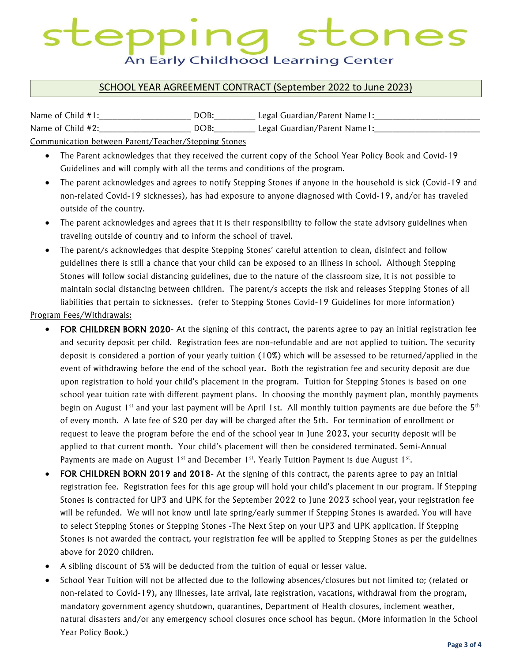# ones An Early Childhood Learning Center

#### SCHOOL YEAR AGREEMENT CONTRACT (September 2022 to June 2023)

| Name of Child $#1$ :                                 | DOB: | Legal Guardian/Parent Name1: |  |  |  |
|------------------------------------------------------|------|------------------------------|--|--|--|
| Name of Child #2:                                    | DOB: | Legal Guardian/Parent Name1: |  |  |  |
| Communication between Parent/Teacher/Stepping Stones |      |                              |  |  |  |

Communication between Parent/Teacher/Stepping Stones

- The Parent acknowledges that they received the current copy of the School Year Policy Book and Covid-19 Guidelines and will comply with all the terms and conditions of the program.
- The parent acknowledges and agrees to notify Stepping Stones if anyone in the household is sick (Covid-19 and non-related Covid-19 sicknesses), has had exposure to anyone diagnosed with Covid-19, and/or has traveled outside of the country.
- The parent acknowledges and agrees that it is their responsibility to follow the state advisory guidelines when traveling outside of country and to inform the school of travel.
- The parent/s acknowledges that despite Stepping Stones' careful attention to clean, disinfect and follow guidelines there is still a chance that your child can be exposed to an illness in school. Although Stepping Stones will follow social distancing guidelines, due to the nature of the classroom size, it is not possible to maintain social distancing between children. The parent/s accepts the risk and releases Stepping Stones of all liabilities that pertain to sicknesses. (refer to Stepping Stones Covid-19 Guidelines for more information)

Program Fees/Withdrawals:

- FOR CHILDREN BORN 2020- At the signing of this contract, the parents agree to pay an initial registration fee and security deposit per child. Registration fees are non-refundable and are not applied to tuition. The security deposit is considered a portion of your yearly tuition (10%) which will be assessed to be returned/applied in the event of withdrawing before the end of the school year. Both the registration fee and security deposit are due upon registration to hold your child's placement in the program. Tuition for Stepping Stones is based on one school year tuition rate with different payment plans. In choosing the monthly payment plan, monthly payments begin on August 1<sup>st</sup> and your last payment will be April 1st. All monthly tuition payments are due before the 5<sup>th</sup> of every month. A late fee of \$20 per day will be charged after the 5th. For termination of enrollment or request to leave the program before the end of the school year in June 2023, your security deposit will be applied to that current month. Your child's placement will then be considered terminated. Semi-Annual Payments are made on August 1<sup>st</sup> and December 1<sup>st</sup>. Yearly Tuition Payment is due August 1<sup>st</sup>.
- FOR CHILDREN BORN 2019 and 2018- At the signing of this contract, the parents agree to pay an initial registration fee. Registration fees for this age group will hold your child's placement in our program. If Stepping Stones is contracted for UP3 and UPK for the September 2022 to June 2023 school year, your registration fee will be refunded. We will not know until late spring/early summer if Stepping Stones is awarded. You will have to select Stepping Stones or Stepping Stones -The Next Step on your UP3 and UPK application. If Stepping Stones is not awarded the contract, your registration fee will be applied to Stepping Stones as per the guidelines above for 2020 children.
- A sibling discount of 5% will be deducted from the tuition of equal or lesser value.
- School Year Tuition will not be affected due to the following absences/closures but not limited to; (related or non-related to Covid-19), any illnesses, late arrival, late registration, vacations, withdrawal from the program, mandatory government agency shutdown, quarantines, Department of Health closures, inclement weather, natural disasters and/or any emergency school closures once school has begun. (More information in the School Year Policy Book.)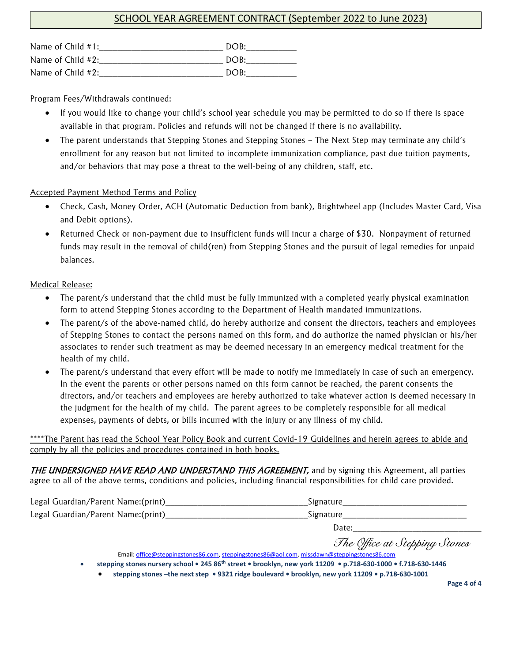#### SCHOOL YEAR AGREEMENT CONTRACT (September 2022 to June 2023)

| Name of Child $#1$ : | DOB: |
|----------------------|------|
| Name of Child #2:    | DOB: |
| Name of Child #2:    | DOB: |

Program Fees/Withdrawals continued:

- If you would like to change your child's school year schedule you may be permitted to do so if there is space available in that program. Policies and refunds will not be changed if there is no availability.
- The parent understands that Stepping Stones and Stepping Stones The Next Step may terminate any child's enrollment for any reason but not limited to incomplete immunization compliance, past due tuition payments, and/or behaviors that may pose a threat to the well-being of any children, staff, etc.

#### **Accepted Payment Method Terms and Policy**

- Check, Cash, Money Order, ACH (Automatic Deduction from bank), Brightwheel app (Includes Master Card, Visa and Debit options).
- Returned Check or non-payment due to insufficient funds will incur a charge of \$30. Nonpayment of returned funds may result in the removal of child(ren) from Stepping Stones and the pursuit of legal remedies for unpaid balances.

#### Medical Release:

- The parent/s understand that the child must be fully immunized with a completed yearly physical examination form to attend Stepping Stones according to the Department of Health mandated immunizations.
- The parent/s of the above-named child, do hereby authorize and consent the directors, teachers and employees of Stepping Stones to contact the persons named on this form, and do authorize the named physician or his/her associates to render such treatment as may be deemed necessary in an emergency medical treatment for the health of my child.
- The parent/s understand that every effort will be made to notify me immediately in case of such an emergency. In the event the parents or other persons named on this form cannot be reached, the parent consents the directors, and/or teachers and employees are hereby authorized to take whatever action is deemed necessary in the judgment for the health of my child. The parent agrees to be completely responsible for all medical expenses, payments of debts, or bills incurred with the injury or any illness of my child.

\*\*\*\*The Parent has read the School Year Policy Book and current Covid-19 Guidelines and herein agrees to abide and comply by all the policies and procedures contained in both books.

THE UNDERSIGNED HAVE READ AND UNDERSTAND THIS AGREEMENT, and by signing this Agreement, all parties agree to all of the above terms, conditions and policies, including financial responsibilities for child care provided.

| Legal Guardian/Parent Name:(print) | Signature                        |
|------------------------------------|----------------------------------|
| Legal Guardian/Parent Name:(print) | Signature                        |
|                                    | Date:                            |
|                                    | $\pi$ $\wedge$ $\qquad$ $\cdots$ |

 *The Office at Stepping Stones* Email[: office@steppingstones86.com,](mailto:office@steppingstones86.com) [steppingstones86@aol.com,](mailto:steppingstones86@aol.com) [missdawn@steppingstones86.com](mailto:missdawn@steppingstones86.com)

- **stepping stones nursery school 245 86th street brooklyn, new york 11209 p.718-630-1000 f.718-630-1446**
	- **stepping stones –the next step 9321 ridge boulevard brooklyn, new york 11209 p.718-630-1001**

**Page 4 of 4**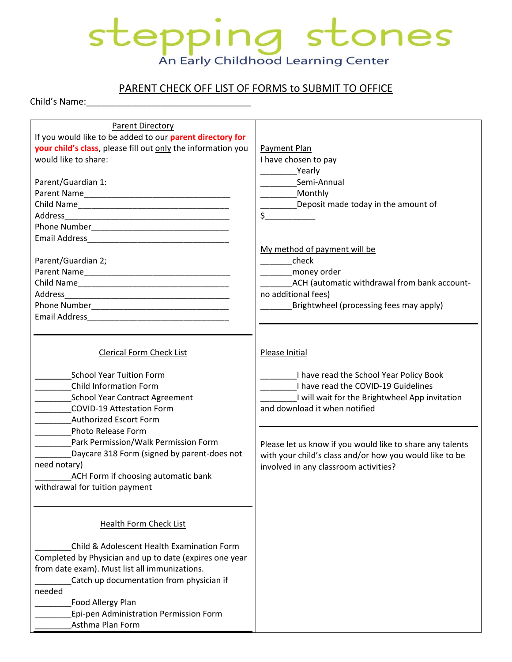# stepping stones An Early Childhood Learning Center

### PARENT CHECK OFF LIST OF FORMS to SUBMIT TO OFFICE

Child's Name:

| <b>Parent Directory</b><br>If you would like to be added to our parent directory for<br>your child's class, please fill out only the information you<br>would like to share:<br>Parent/Guardian 1:                                                                                                                                                                                                                      | Payment Plan<br>I have chosen to pay<br><b>Yearly</b><br>Semi-Annual<br>_Monthly<br>Deposit made today in the amount of<br>s                                                                                                                                                                                                                         |
|-------------------------------------------------------------------------------------------------------------------------------------------------------------------------------------------------------------------------------------------------------------------------------------------------------------------------------------------------------------------------------------------------------------------------|------------------------------------------------------------------------------------------------------------------------------------------------------------------------------------------------------------------------------------------------------------------------------------------------------------------------------------------------------|
| Parent/Guardian 2;                                                                                                                                                                                                                                                                                                                                                                                                      | My method of payment will be<br>check<br>money order<br>_ACH (automatic withdrawal from bank account-<br>no additional fees)<br>Brightwheel (processing fees may apply)                                                                                                                                                                              |
| <b>Clerical Form Check List</b><br><b>School Year Tuition Form</b><br><b>Child Information Form</b><br><b>School Year Contract Agreement</b><br><b>COVID-19 Attestation Form</b><br><b>Authorized Escort Form</b><br>Photo Release Form<br>Park Permission/Walk Permission Form<br>Daycare 318 Form (signed by parent-does not<br>need notary)<br>ACH Form if choosing automatic bank<br>withdrawal for tuition payment | Please Initial<br>I have read the School Year Policy Book<br>I have read the COVID-19 Guidelines<br>I will wait for the Brightwheel App invitation<br>and download it when notified<br>Please let us know if you would like to share any talents<br>with your child's class and/or how you would like to be<br>involved in any classroom activities? |
| <b>Health Form Check List</b><br>Child & Adolescent Health Examination Form<br>Completed by Physician and up to date (expires one year<br>from date exam). Must list all immunizations.<br>Catch up documentation from physician if<br>needed<br>Food Allergy Plan<br>Epi-pen Administration Permission Form<br>Asthma Plan Form                                                                                        |                                                                                                                                                                                                                                                                                                                                                      |